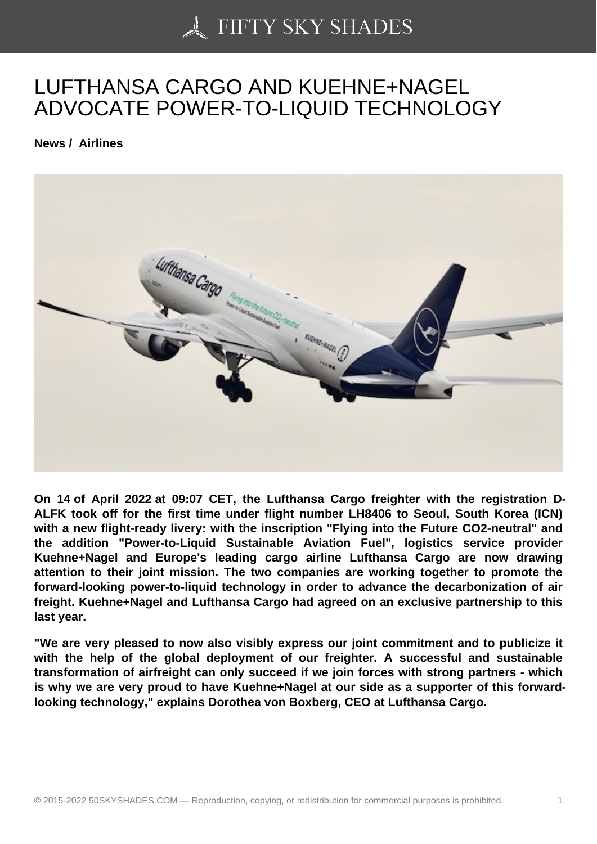## [LUFTHANSA CARGO](https://50skyshades.com) AND KUEHNE+NAGEL ADVOCATE POWER-TO-LIQUID TECHNOLOGY

News / Airlines

On 14 of April 2022 at 09:07 CET, the Lufthansa Cargo freighter with the registration D-ALFK took off for the first time under flight number LH8406 to Seoul, South Korea (ICN) with a new flight-ready livery: with the inscription "Flying into the Future CO2-neutral" and the addition "Power-to-Liquid Sustainable Aviation Fuel", logistics service provider Kuehne+Nagel and Europe's leading cargo airline Lufthansa Cargo are now drawing attention to their joint mission. The two companies are working together to promote the forward-looking power-to-liquid technology in order to advance the decarbonization of air freight. Kuehne+Nagel and Lufthansa Cargo had agreed on an exclusive partnership to this last year.

"We are very pleased to now also visibly express our joint commitment and to publicize it with the help of the global deployment of our freighter. A successful and sustainable transformation of airfreight can only succeed if we join forces with strong partners - which is why we are very proud to have Kuehne+Nagel at our side as a supporter of this forwardlooking technology," explains Dorothea von Boxberg, CEO at Lufthansa Cargo.